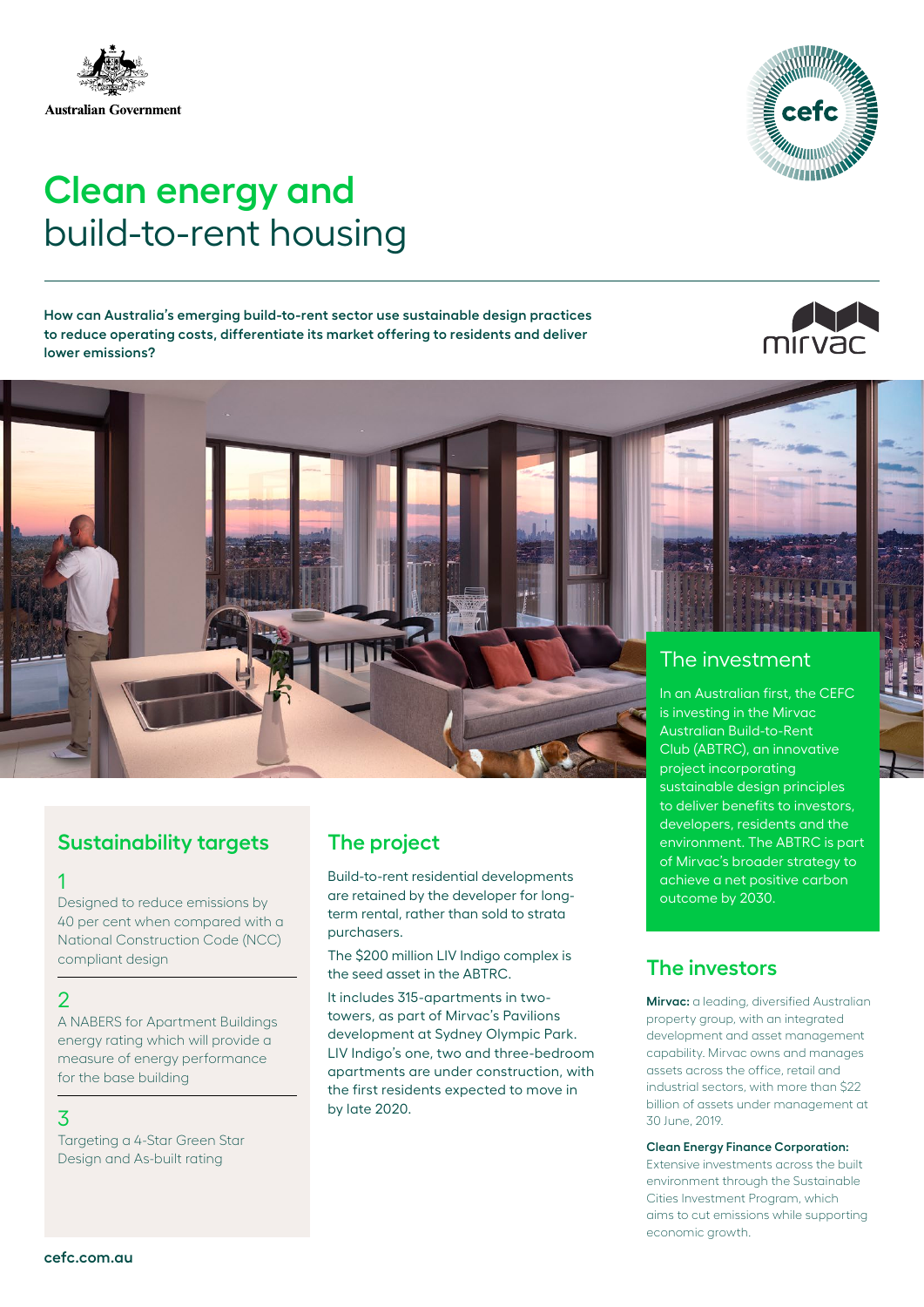

#### measure of energy performance for the base building

compliant design

Designed to reduce emissions by 40 per cent when compared with a National Construction Code (NCC)

A NABERS for Apartment Buildings energy rating which will provide a

#### 3

1

 $\overline{2}$ 

Targeting a 4-Star Green Star Design and As-built rating

#### **Sustainability targets The project**

Build-to-rent residential developments are retained by the developer for longterm rental, rather than sold to strata purchasers.

The \$200 million LIV Indigo complex is the seed asset in the ABTRC.

It includes 315-apartments in twotowers, as part of Mirvac's Pavilions development at Sydney Olympic Park. LIV Indigo's one, two and three-bedroom apartments are under construction, with the first residents expected to move in by late 2020.

### The investment

In an Australian first, the CEFC is investing in the Mirvac Australian Build-to-Rent Club (ABTRC), an innovative project incorporating sustainable design principles to deliver benefits to investors, developers, residents and the environment. The ABTRC is part of Mirvac's broader strategy to achieve a net positive carbon outcome by 2030.

#### **The investors**

**Mirvac:** a leading, diversified Australian property group, with an integrated development and asset management capability. Mirvac owns and manages assets across the office, retail and industrial sectors, with more than \$22 billion of assets under management at 30 June, 2019.

#### **Clean Energy Finance Corporation:**

Extensive investments across the built environment through the Sustainable Cities Investment Program, which aims to cut emissions while supporting economic growth.

**How can Australia's emerging build-to-rent sector use sustainable design practices to reduce operating costs, differentiate its market offering to residents and deliver lower emissions?**

## **Clean energy and**

# build-to-rent housing



mirvac



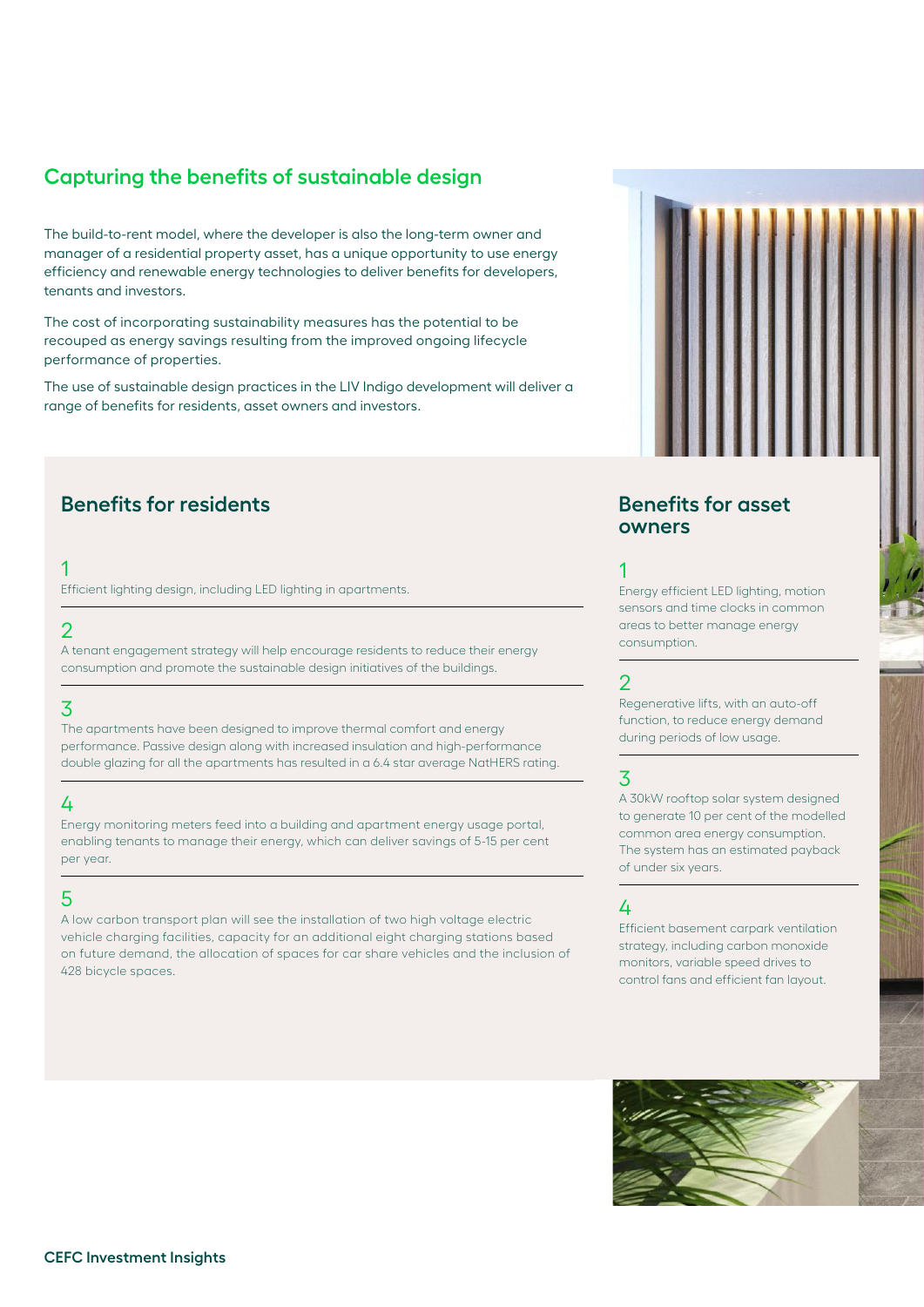#### **Capturing the benefits of sustainable design**

The build-to-rent model, where the developer is also the long-term owner and manager of a residential property asset, has a unique opportunity to use energy efficiency and renewable energy technologies to deliver benefits for developers, tenants and investors.

The cost of incorporating sustainability measures has the potential to be recouped as energy savings resulting from the improved ongoing lifecycle performance of properties.

The use of sustainable design practices in the LIV Indigo development will deliver a range of benefits for residents, asset owners and investors.

#### **Benefits for residents Benefits for asset**

#### 1

Efficient lighting design, including LED lighting in apartments.

#### 2

A tenant engagement strategy will help encourage residents to reduce their energy consumption and promote the sustainable design initiatives of the buildings.

#### 3

The apartments have been designed to improve thermal comfort and energy performance. Passive design along with increased insulation and high-performance double glazing for all the apartments has resulted in a 6.4 star average NatHERS rating.

#### 4

Energy monitoring meters feed into a building and apartment energy usage portal, enabling tenants to manage their energy, which can deliver savings of 5-15 per cent per year.

#### 5

A low carbon transport plan will see the installation of two high voltage electric vehicle charging facilities, capacity for an additional eight charging stations based on future demand, the allocation of spaces for car share vehicles and the inclusion of 428 bicycle spaces.

### **owners**

#### 1

Energy efficient LED lighting, motion sensors and time clocks in common areas to better manage energy consumption.

#### 2

Regenerative lifts, with an auto-off function, to reduce energy demand during periods of low usage.

#### 3

A 30kW rooftop solar system designed to generate 10 per cent of the modelled common area energy consumption. The system has an estimated payback of under six years.

#### 4

Efficient basement carpark ventilation strategy, including carbon monoxide monitors, variable speed drives to control fans and efficient fan layout.

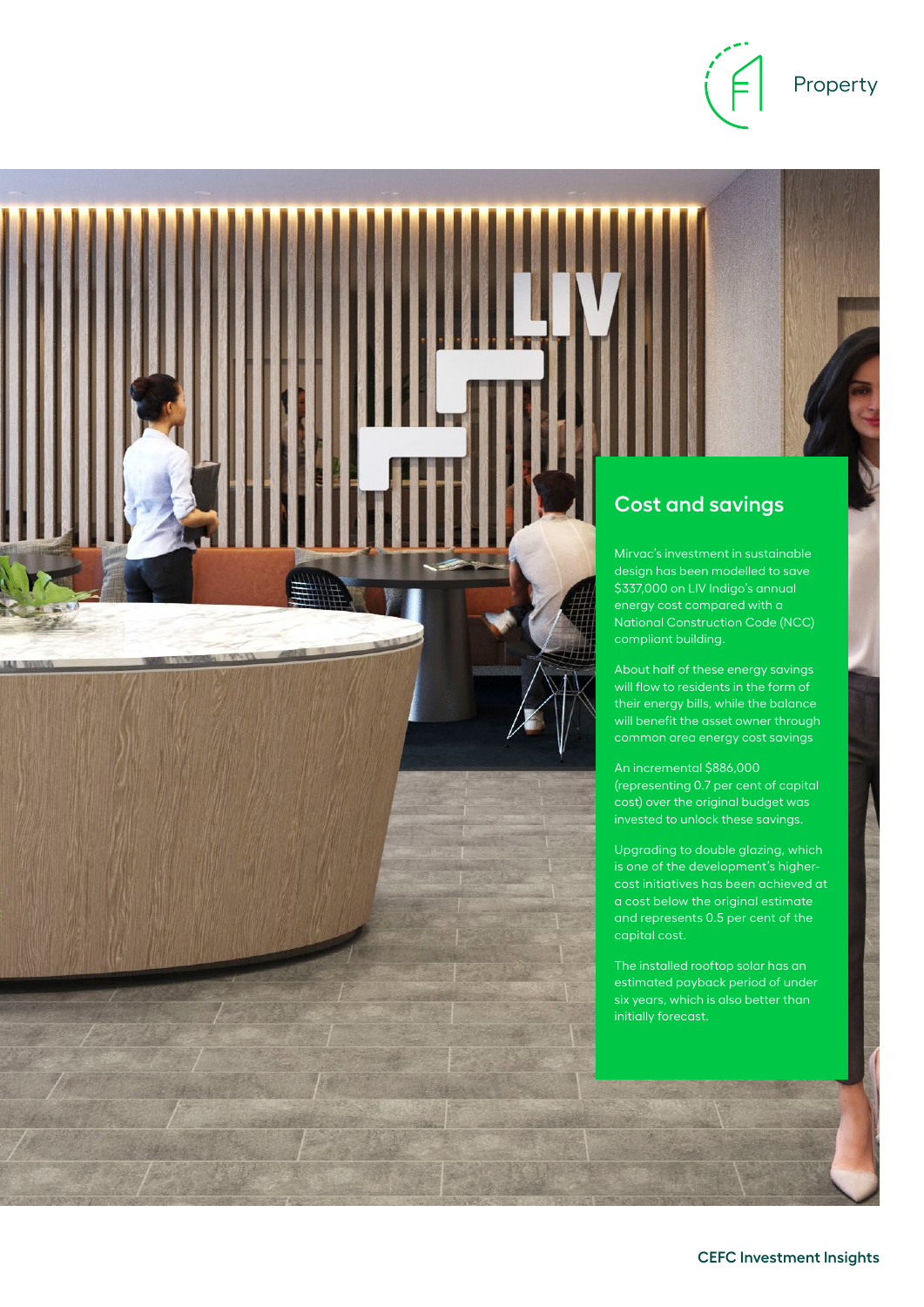

#### Property



The installed rooftop solar has an estimated payback period of under six years, which is also better than initially forecast.